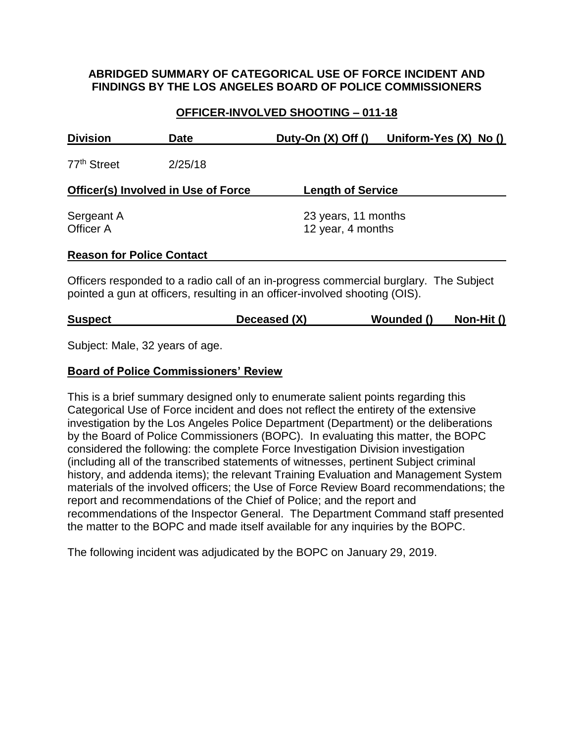#### **ABRIDGED SUMMARY OF CATEGORICAL USE OF FORCE INCIDENT AND FINDINGS BY THE LOS ANGELES BOARD OF POLICE COMMISSIONERS**

## **OFFICER-INVOLVED SHOOTING – 011-18**

| <b>Division</b>                            | <b>Date</b> | Duty-On $(X)$ Off $()$                   | Uniform-Yes $(X)$ No $()$ |  |
|--------------------------------------------|-------------|------------------------------------------|---------------------------|--|
| 77 <sup>th</sup> Street                    | 2/25/18     |                                          |                           |  |
| <b>Officer(s) Involved in Use of Force</b> |             | <b>Length of Service</b>                 |                           |  |
| Sergeant A<br>Officer A                    |             | 23 years, 11 months<br>12 year, 4 months |                           |  |
| <b>Reason for Police Contact</b>           |             |                                          |                           |  |

Officers responded to a radio call of an in-progress commercial burglary. The Subject pointed a gun at officers, resulting in an officer-involved shooting (OIS).

| <b>Suspect</b> | Deceased (X) | Wounded () | Non-Hit () |
|----------------|--------------|------------|------------|
|                |              |            |            |

Subject: Male, 32 years of age.

#### **Board of Police Commissioners' Review**

This is a brief summary designed only to enumerate salient points regarding this Categorical Use of Force incident and does not reflect the entirety of the extensive investigation by the Los Angeles Police Department (Department) or the deliberations by the Board of Police Commissioners (BOPC). In evaluating this matter, the BOPC considered the following: the complete Force Investigation Division investigation (including all of the transcribed statements of witnesses, pertinent Subject criminal history, and addenda items); the relevant Training Evaluation and Management System materials of the involved officers; the Use of Force Review Board recommendations; the report and recommendations of the Chief of Police; and the report and recommendations of the Inspector General. The Department Command staff presented the matter to the BOPC and made itself available for any inquiries by the BOPC.

The following incident was adjudicated by the BOPC on January 29, 2019.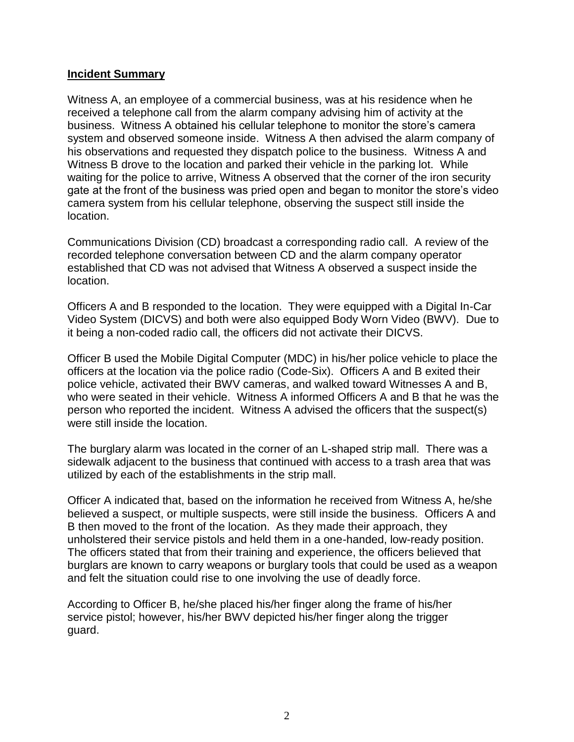#### **Incident Summary**

Witness A, an employee of a commercial business, was at his residence when he received a telephone call from the alarm company advising him of activity at the business. Witness A obtained his cellular telephone to monitor the store's camera system and observed someone inside. Witness A then advised the alarm company of his observations and requested they dispatch police to the business. Witness A and Witness B drove to the location and parked their vehicle in the parking lot. While waiting for the police to arrive, Witness A observed that the corner of the iron security gate at the front of the business was pried open and began to monitor the store's video camera system from his cellular telephone, observing the suspect still inside the location.

Communications Division (CD) broadcast a corresponding radio call. A review of the recorded telephone conversation between CD and the alarm company operator established that CD was not advised that Witness A observed a suspect inside the location.

Officers A and B responded to the location. They were equipped with a Digital In-Car Video System (DICVS) and both were also equipped Body Worn Video (BWV). Due to it being a non-coded radio call, the officers did not activate their DICVS.

Officer B used the Mobile Digital Computer (MDC) in his/her police vehicle to place the officers at the location via the police radio (Code-Six). Officers A and B exited their police vehicle, activated their BWV cameras, and walked toward Witnesses A and B, who were seated in their vehicle. Witness A informed Officers A and B that he was the person who reported the incident. Witness A advised the officers that the suspect(s) were still inside the location.

The burglary alarm was located in the corner of an L-shaped strip mall. There was a sidewalk adjacent to the business that continued with access to a trash area that was utilized by each of the establishments in the strip mall.

Officer A indicated that, based on the information he received from Witness A, he/she believed a suspect, or multiple suspects, were still inside the business. Officers A and B then moved to the front of the location. As they made their approach, they unholstered their service pistols and held them in a one-handed, low-ready position. The officers stated that from their training and experience, the officers believed that burglars are known to carry weapons or burglary tools that could be used as a weapon and felt the situation could rise to one involving the use of deadly force.

According to Officer B, he/she placed his/her finger along the frame of his/her service pistol; however, his/her BWV depicted his/her finger along the trigger guard.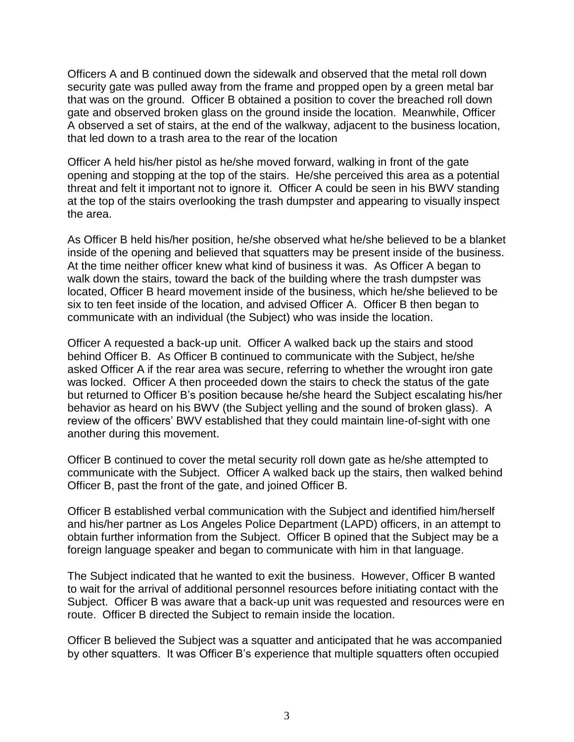Officers A and B continued down the sidewalk and observed that the metal roll down security gate was pulled away from the frame and propped open by a green metal bar that was on the ground. Officer B obtained a position to cover the breached roll down gate and observed broken glass on the ground inside the location. Meanwhile, Officer A observed a set of stairs, at the end of the walkway, adjacent to the business location, that led down to a trash area to the rear of the location

Officer A held his/her pistol as he/she moved forward, walking in front of the gate opening and stopping at the top of the stairs. He/she perceived this area as a potential threat and felt it important not to ignore it. Officer A could be seen in his BWV standing at the top of the stairs overlooking the trash dumpster and appearing to visually inspect the area.

As Officer B held his/her position, he/she observed what he/she believed to be a blanket inside of the opening and believed that squatters may be present inside of the business. At the time neither officer knew what kind of business it was. As Officer A began to walk down the stairs, toward the back of the building where the trash dumpster was located, Officer B heard movement inside of the business, which he/she believed to be six to ten feet inside of the location, and advised Officer A. Officer B then began to communicate with an individual (the Subject) who was inside the location.

Officer A requested a back-up unit. Officer A walked back up the stairs and stood behind Officer B. As Officer B continued to communicate with the Subject, he/she asked Officer A if the rear area was secure, referring to whether the wrought iron gate was locked. Officer A then proceeded down the stairs to check the status of the gate but returned to Officer B's position because he/she heard the Subject escalating his/her behavior as heard on his BWV (the Subject yelling and the sound of broken glass). A review of the officers' BWV established that they could maintain line-of-sight with one another during this movement.

Officer B continued to cover the metal security roll down gate as he/she attempted to communicate with the Subject. Officer A walked back up the stairs, then walked behind Officer B, past the front of the gate, and joined Officer B.

Officer B established verbal communication with the Subject and identified him/herself and his/her partner as Los Angeles Police Department (LAPD) officers, in an attempt to obtain further information from the Subject. Officer B opined that the Subject may be a foreign language speaker and began to communicate with him in that language.

The Subject indicated that he wanted to exit the business. However, Officer B wanted to wait for the arrival of additional personnel resources before initiating contact with the Subject. Officer B was aware that a back-up unit was requested and resources were en route. Officer B directed the Subject to remain inside the location.

Officer B believed the Subject was a squatter and anticipated that he was accompanied by other squatters. It was Officer B's experience that multiple squatters often occupied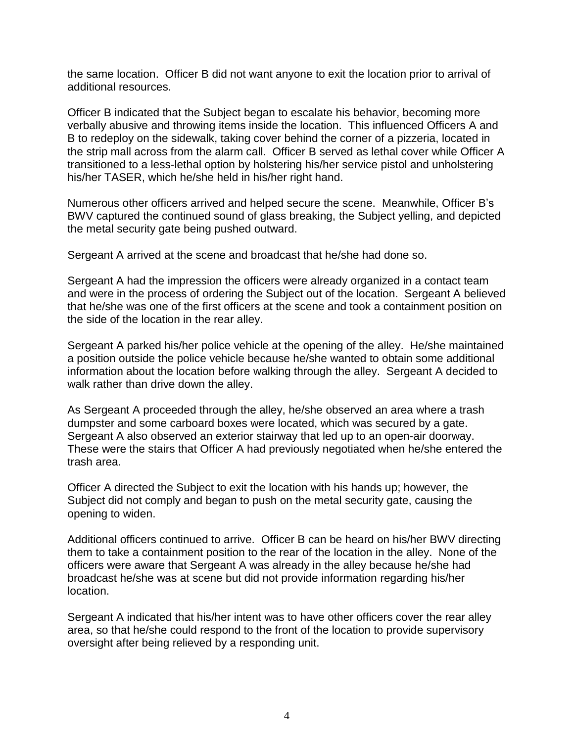the same location. Officer B did not want anyone to exit the location prior to arrival of additional resources.

Officer B indicated that the Subject began to escalate his behavior, becoming more verbally abusive and throwing items inside the location. This influenced Officers A and B to redeploy on the sidewalk, taking cover behind the corner of a pizzeria, located in the strip mall across from the alarm call. Officer B served as lethal cover while Officer A transitioned to a less-lethal option by holstering his/her service pistol and unholstering his/her TASER, which he/she held in his/her right hand.

Numerous other officers arrived and helped secure the scene. Meanwhile, Officer B's BWV captured the continued sound of glass breaking, the Subject yelling, and depicted the metal security gate being pushed outward.

Sergeant A arrived at the scene and broadcast that he/she had done so.

Sergeant A had the impression the officers were already organized in a contact team and were in the process of ordering the Subject out of the location. Sergeant A believed that he/she was one of the first officers at the scene and took a containment position on the side of the location in the rear alley.

Sergeant A parked his/her police vehicle at the opening of the alley. He/she maintained a position outside the police vehicle because he/she wanted to obtain some additional information about the location before walking through the alley. Sergeant A decided to walk rather than drive down the alley.

As Sergeant A proceeded through the alley, he/she observed an area where a trash dumpster and some carboard boxes were located, which was secured by a gate. Sergeant A also observed an exterior stairway that led up to an open-air doorway. These were the stairs that Officer A had previously negotiated when he/she entered the trash area.

Officer A directed the Subject to exit the location with his hands up; however, the Subject did not comply and began to push on the metal security gate, causing the opening to widen.

Additional officers continued to arrive. Officer B can be heard on his/her BWV directing them to take a containment position to the rear of the location in the alley. None of the officers were aware that Sergeant A was already in the alley because he/she had broadcast he/she was at scene but did not provide information regarding his/her location.

Sergeant A indicated that his/her intent was to have other officers cover the rear alley area, so that he/she could respond to the front of the location to provide supervisory oversight after being relieved by a responding unit.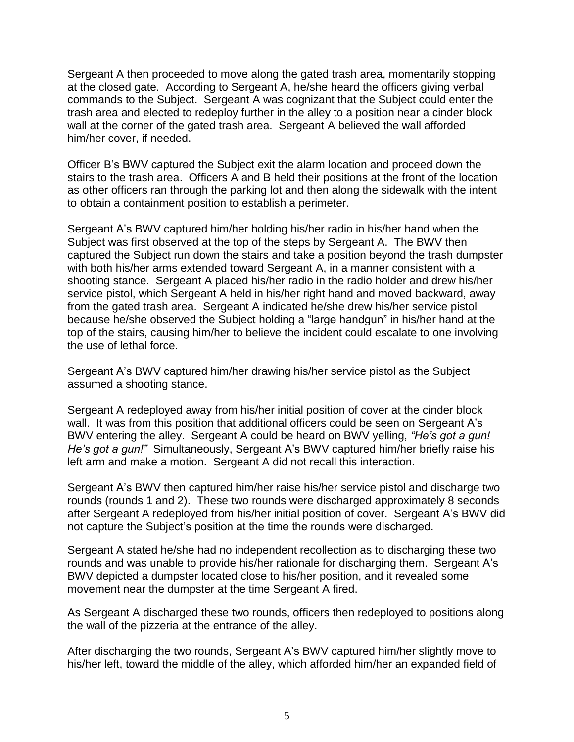Sergeant A then proceeded to move along the gated trash area, momentarily stopping at the closed gate. According to Sergeant A, he/she heard the officers giving verbal commands to the Subject. Sergeant A was cognizant that the Subject could enter the trash area and elected to redeploy further in the alley to a position near a cinder block wall at the corner of the gated trash area. Sergeant A believed the wall afforded him/her cover, if needed.

Officer B's BWV captured the Subject exit the alarm location and proceed down the stairs to the trash area. Officers A and B held their positions at the front of the location as other officers ran through the parking lot and then along the sidewalk with the intent to obtain a containment position to establish a perimeter.

Sergeant A's BWV captured him/her holding his/her radio in his/her hand when the Subject was first observed at the top of the steps by Sergeant A. The BWV then captured the Subject run down the stairs and take a position beyond the trash dumpster with both his/her arms extended toward Sergeant A, in a manner consistent with a shooting stance. Sergeant A placed his/her radio in the radio holder and drew his/her service pistol, which Sergeant A held in his/her right hand and moved backward, away from the gated trash area. Sergeant A indicated he/she drew his/her service pistol because he/she observed the Subject holding a "large handgun" in his/her hand at the top of the stairs, causing him/her to believe the incident could escalate to one involving the use of lethal force.

Sergeant A's BWV captured him/her drawing his/her service pistol as the Subject assumed a shooting stance.

Sergeant A redeployed away from his/her initial position of cover at the cinder block wall. It was from this position that additional officers could be seen on Sergeant A's BWV entering the alley. Sergeant A could be heard on BWV yelling, *"He's got a gun! He's got a gun!"* Simultaneously, Sergeant A's BWV captured him/her briefly raise his left arm and make a motion. Sergeant A did not recall this interaction.

Sergeant A's BWV then captured him/her raise his/her service pistol and discharge two rounds (rounds 1 and 2). These two rounds were discharged approximately 8 seconds after Sergeant A redeployed from his/her initial position of cover. Sergeant A's BWV did not capture the Subject's position at the time the rounds were discharged.

Sergeant A stated he/she had no independent recollection as to discharging these two rounds and was unable to provide his/her rationale for discharging them. Sergeant A's BWV depicted a dumpster located close to his/her position, and it revealed some movement near the dumpster at the time Sergeant A fired.

As Sergeant A discharged these two rounds, officers then redeployed to positions along the wall of the pizzeria at the entrance of the alley.

After discharging the two rounds, Sergeant A's BWV captured him/her slightly move to his/her left, toward the middle of the alley, which afforded him/her an expanded field of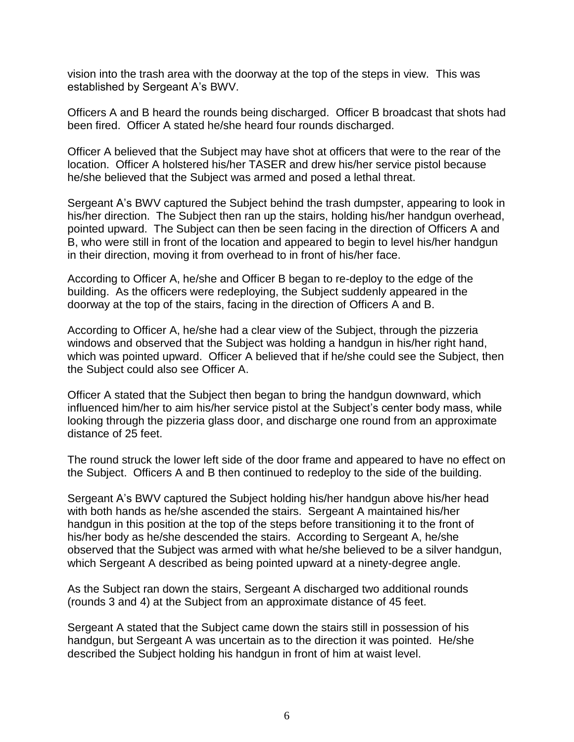vision into the trash area with the doorway at the top of the steps in view. This was established by Sergeant A's BWV.

Officers A and B heard the rounds being discharged. Officer B broadcast that shots had been fired. Officer A stated he/she heard four rounds discharged.

Officer A believed that the Subject may have shot at officers that were to the rear of the location. Officer A holstered his/her TASER and drew his/her service pistol because he/she believed that the Subject was armed and posed a lethal threat.

Sergeant A's BWV captured the Subject behind the trash dumpster, appearing to look in his/her direction. The Subject then ran up the stairs, holding his/her handgun overhead, pointed upward. The Subject can then be seen facing in the direction of Officers A and B, who were still in front of the location and appeared to begin to level his/her handgun in their direction, moving it from overhead to in front of his/her face.

According to Officer A, he/she and Officer B began to re-deploy to the edge of the building. As the officers were redeploying, the Subject suddenly appeared in the doorway at the top of the stairs, facing in the direction of Officers A and B.

According to Officer A, he/she had a clear view of the Subject, through the pizzeria windows and observed that the Subject was holding a handgun in his/her right hand, which was pointed upward. Officer A believed that if he/she could see the Subject, then the Subject could also see Officer A.

Officer A stated that the Subject then began to bring the handgun downward, which influenced him/her to aim his/her service pistol at the Subject's center body mass, while looking through the pizzeria glass door, and discharge one round from an approximate distance of 25 feet.

The round struck the lower left side of the door frame and appeared to have no effect on the Subject. Officers A and B then continued to redeploy to the side of the building.

Sergeant A's BWV captured the Subject holding his/her handgun above his/her head with both hands as he/she ascended the stairs. Sergeant A maintained his/her handgun in this position at the top of the steps before transitioning it to the front of his/her body as he/she descended the stairs. According to Sergeant A, he/she observed that the Subject was armed with what he/she believed to be a silver handgun, which Sergeant A described as being pointed upward at a ninety-degree angle.

As the Subject ran down the stairs, Sergeant A discharged two additional rounds (rounds 3 and 4) at the Subject from an approximate distance of 45 feet.

Sergeant A stated that the Subject came down the stairs still in possession of his handgun, but Sergeant A was uncertain as to the direction it was pointed. He/she described the Subject holding his handgun in front of him at waist level.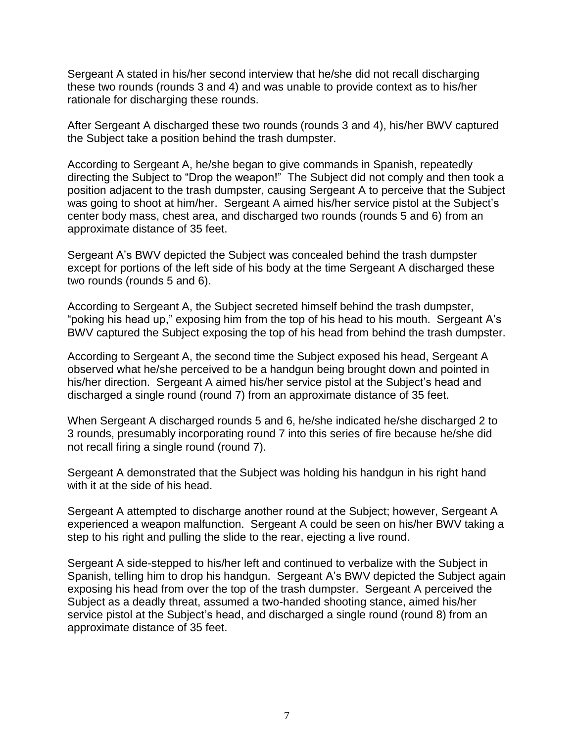Sergeant A stated in his/her second interview that he/she did not recall discharging these two rounds (rounds 3 and 4) and was unable to provide context as to his/her rationale for discharging these rounds.

After Sergeant A discharged these two rounds (rounds 3 and 4), his/her BWV captured the Subject take a position behind the trash dumpster.

According to Sergeant A, he/she began to give commands in Spanish, repeatedly directing the Subject to "Drop the weapon!" The Subject did not comply and then took a position adjacent to the trash dumpster, causing Sergeant A to perceive that the Subject was going to shoot at him/her. Sergeant A aimed his/her service pistol at the Subject's center body mass, chest area, and discharged two rounds (rounds 5 and 6) from an approximate distance of 35 feet.

Sergeant A's BWV depicted the Subject was concealed behind the trash dumpster except for portions of the left side of his body at the time Sergeant A discharged these two rounds (rounds 5 and 6).

According to Sergeant A, the Subject secreted himself behind the trash dumpster, "poking his head up," exposing him from the top of his head to his mouth. Sergeant A's BWV captured the Subject exposing the top of his head from behind the trash dumpster.

According to Sergeant A, the second time the Subject exposed his head, Sergeant A observed what he/she perceived to be a handgun being brought down and pointed in his/her direction. Sergeant A aimed his/her service pistol at the Subject's head and discharged a single round (round 7) from an approximate distance of 35 feet.

When Sergeant A discharged rounds 5 and 6, he/she indicated he/she discharged 2 to 3 rounds, presumably incorporating round 7 into this series of fire because he/she did not recall firing a single round (round 7).

Sergeant A demonstrated that the Subject was holding his handgun in his right hand with it at the side of his head.

Sergeant A attempted to discharge another round at the Subject; however, Sergeant A experienced a weapon malfunction. Sergeant A could be seen on his/her BWV taking a step to his right and pulling the slide to the rear, ejecting a live round.

Sergeant A side-stepped to his/her left and continued to verbalize with the Subject in Spanish, telling him to drop his handgun. Sergeant A's BWV depicted the Subject again exposing his head from over the top of the trash dumpster. Sergeant A perceived the Subject as a deadly threat, assumed a two-handed shooting stance, aimed his/her service pistol at the Subject's head, and discharged a single round (round 8) from an approximate distance of 35 feet.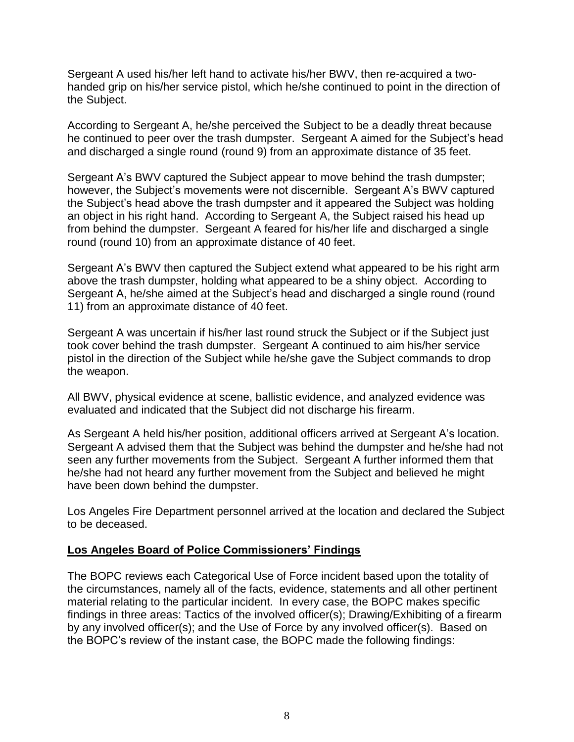Sergeant A used his/her left hand to activate his/her BWV, then re-acquired a twohanded grip on his/her service pistol, which he/she continued to point in the direction of the Subject.

According to Sergeant A, he/she perceived the Subject to be a deadly threat because he continued to peer over the trash dumpster. Sergeant A aimed for the Subject's head and discharged a single round (round 9) from an approximate distance of 35 feet.

Sergeant A's BWV captured the Subject appear to move behind the trash dumpster; however, the Subject's movements were not discernible. Sergeant A's BWV captured the Subject's head above the trash dumpster and it appeared the Subject was holding an object in his right hand. According to Sergeant A, the Subject raised his head up from behind the dumpster. Sergeant A feared for his/her life and discharged a single round (round 10) from an approximate distance of 40 feet.

Sergeant A's BWV then captured the Subject extend what appeared to be his right arm above the trash dumpster, holding what appeared to be a shiny object. According to Sergeant A, he/she aimed at the Subject's head and discharged a single round (round 11) from an approximate distance of 40 feet.

Sergeant A was uncertain if his/her last round struck the Subject or if the Subject just took cover behind the trash dumpster. Sergeant A continued to aim his/her service pistol in the direction of the Subject while he/she gave the Subject commands to drop the weapon.

All BWV, physical evidence at scene, ballistic evidence, and analyzed evidence was evaluated and indicated that the Subject did not discharge his firearm.

As Sergeant A held his/her position, additional officers arrived at Sergeant A's location. Sergeant A advised them that the Subject was behind the dumpster and he/she had not seen any further movements from the Subject. Sergeant A further informed them that he/she had not heard any further movement from the Subject and believed he might have been down behind the dumpster.

Los Angeles Fire Department personnel arrived at the location and declared the Subject to be deceased.

#### **Los Angeles Board of Police Commissioners' Findings**

The BOPC reviews each Categorical Use of Force incident based upon the totality of the circumstances, namely all of the facts, evidence, statements and all other pertinent material relating to the particular incident. In every case, the BOPC makes specific findings in three areas: Tactics of the involved officer(s); Drawing/Exhibiting of a firearm by any involved officer(s); and the Use of Force by any involved officer(s). Based on the BOPC's review of the instant case, the BOPC made the following findings: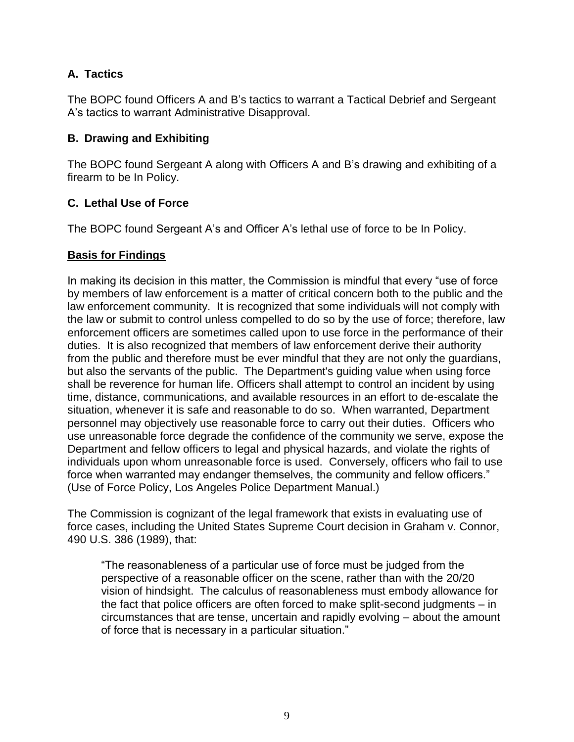# **A. Tactics**

The BOPC found Officers A and B's tactics to warrant a Tactical Debrief and Sergeant A's tactics to warrant Administrative Disapproval.

## **B. Drawing and Exhibiting**

The BOPC found Sergeant A along with Officers A and B's drawing and exhibiting of a firearm to be In Policy.

# **C. Lethal Use of Force**

The BOPC found Sergeant A's and Officer A's lethal use of force to be In Policy.

## **Basis for Findings**

In making its decision in this matter, the Commission is mindful that every "use of force by members of law enforcement is a matter of critical concern both to the public and the law enforcement community. It is recognized that some individuals will not comply with the law or submit to control unless compelled to do so by the use of force; therefore, law enforcement officers are sometimes called upon to use force in the performance of their duties. It is also recognized that members of law enforcement derive their authority from the public and therefore must be ever mindful that they are not only the guardians, but also the servants of the public. The Department's guiding value when using force shall be reverence for human life. Officers shall attempt to control an incident by using time, distance, communications, and available resources in an effort to de-escalate the situation, whenever it is safe and reasonable to do so. When warranted, Department personnel may objectively use reasonable force to carry out their duties. Officers who use unreasonable force degrade the confidence of the community we serve, expose the Department and fellow officers to legal and physical hazards, and violate the rights of individuals upon whom unreasonable force is used. Conversely, officers who fail to use force when warranted may endanger themselves, the community and fellow officers." (Use of Force Policy, Los Angeles Police Department Manual.)

The Commission is cognizant of the legal framework that exists in evaluating use of force cases, including the United States Supreme Court decision in Graham v. Connor, 490 U.S. 386 (1989), that:

"The reasonableness of a particular use of force must be judged from the perspective of a reasonable officer on the scene, rather than with the 20/20 vision of hindsight. The calculus of reasonableness must embody allowance for the fact that police officers are often forced to make split-second judgments – in circumstances that are tense, uncertain and rapidly evolving – about the amount of force that is necessary in a particular situation."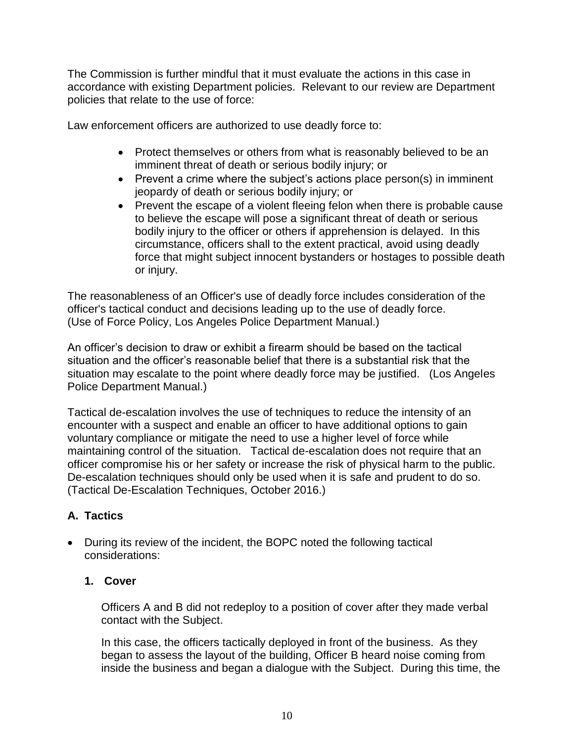The Commission is further mindful that it must evaluate the actions in this case in accordance with existing Department policies. Relevant to our review are Department policies that relate to the use of force:

Law enforcement officers are authorized to use deadly force to:

- Protect themselves or others from what is reasonably believed to be an imminent threat of death or serious bodily injury; or
- Prevent a crime where the subject's actions place person(s) in imminent jeopardy of death or serious bodily injury; or
- Prevent the escape of a violent fleeing felon when there is probable cause to believe the escape will pose a significant threat of death or serious bodily injury to the officer or others if apprehension is delayed. In this circumstance, officers shall to the extent practical, avoid using deadly force that might subject innocent bystanders or hostages to possible death or injury.

The reasonableness of an Officer's use of deadly force includes consideration of the officer's tactical conduct and decisions leading up to the use of deadly force. (Use of Force Policy, Los Angeles Police Department Manual.)

An officer's decision to draw or exhibit a firearm should be based on the tactical situation and the officer's reasonable belief that there is a substantial risk that the situation may escalate to the point where deadly force may be justified. (Los Angeles Police Department Manual.)

Tactical de-escalation involves the use of techniques to reduce the intensity of an encounter with a suspect and enable an officer to have additional options to gain voluntary compliance or mitigate the need to use a higher level of force while maintaining control of the situation. Tactical de-escalation does not require that an officer compromise his or her safety or increase the risk of physical harm to the public. De-escalation techniques should only be used when it is safe and prudent to do so. (Tactical De-Escalation Techniques, October 2016.)

# **A. Tactics**

• During its review of the incident, the BOPC noted the following tactical considerations:

## **1. Cover**

Officers A and B did not redeploy to a position of cover after they made verbal contact with the Subject.

In this case, the officers tactically deployed in front of the business. As they began to assess the layout of the building, Officer B heard noise coming from inside the business and began a dialogue with the Subject. During this time, the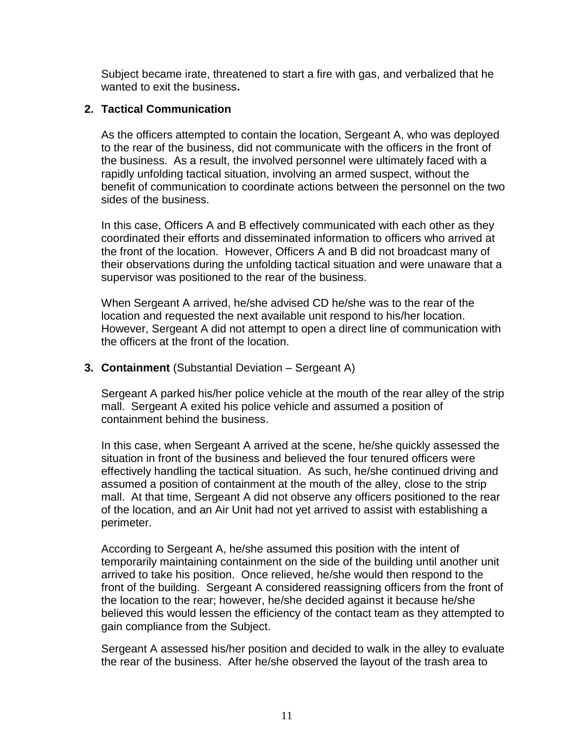Subject became irate, threatened to start a fire with gas, and verbalized that he wanted to exit the business**.**

#### **2. Tactical Communication**

As the officers attempted to contain the location, Sergeant A, who was deployed to the rear of the business, did not communicate with the officers in the front of the business. As a result, the involved personnel were ultimately faced with a rapidly unfolding tactical situation, involving an armed suspect, without the benefit of communication to coordinate actions between the personnel on the two sides of the business.

In this case, Officers A and B effectively communicated with each other as they coordinated their efforts and disseminated information to officers who arrived at the front of the location. However, Officers A and B did not broadcast many of their observations during the unfolding tactical situation and were unaware that a supervisor was positioned to the rear of the business.

When Sergeant A arrived, he/she advised CD he/she was to the rear of the location and requested the next available unit respond to his/her location. However, Sergeant A did not attempt to open a direct line of communication with the officers at the front of the location.

#### **3. Containment** (Substantial Deviation – Sergeant A)

Sergeant A parked his/her police vehicle at the mouth of the rear alley of the strip mall. Sergeant A exited his police vehicle and assumed a position of containment behind the business.

In this case, when Sergeant A arrived at the scene, he/she quickly assessed the situation in front of the business and believed the four tenured officers were effectively handling the tactical situation. As such, he/she continued driving and assumed a position of containment at the mouth of the alley, close to the strip mall. At that time, Sergeant A did not observe any officers positioned to the rear of the location, and an Air Unit had not yet arrived to assist with establishing a perimeter.

According to Sergeant A, he/she assumed this position with the intent of temporarily maintaining containment on the side of the building until another unit arrived to take his position. Once relieved, he/she would then respond to the front of the building. Sergeant A considered reassigning officers from the front of the location to the rear; however, he/she decided against it because he/she believed this would lessen the efficiency of the contact team as they attempted to gain compliance from the Subject.

Sergeant A assessed his/her position and decided to walk in the alley to evaluate the rear of the business. After he/she observed the layout of the trash area to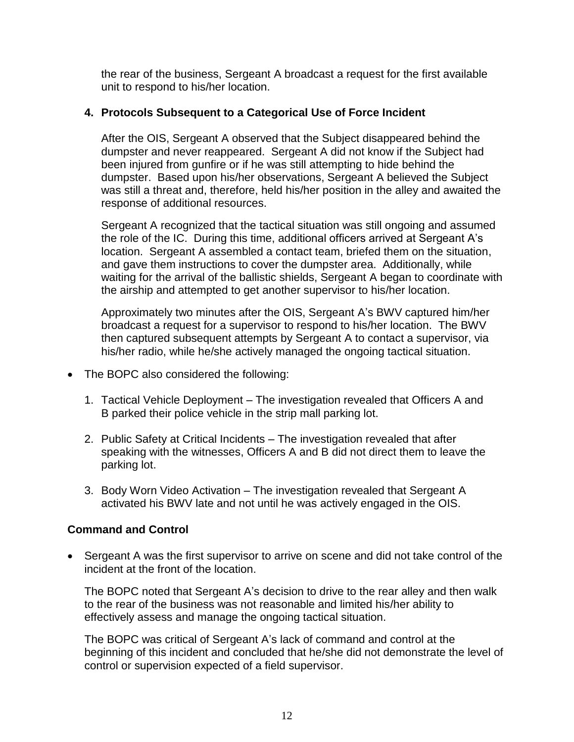the rear of the business, Sergeant A broadcast a request for the first available unit to respond to his/her location.

### **4. Protocols Subsequent to a Categorical Use of Force Incident**

After the OIS, Sergeant A observed that the Subject disappeared behind the dumpster and never reappeared. Sergeant A did not know if the Subject had been injured from gunfire or if he was still attempting to hide behind the dumpster. Based upon his/her observations, Sergeant A believed the Subject was still a threat and, therefore, held his/her position in the alley and awaited the response of additional resources.

Sergeant A recognized that the tactical situation was still ongoing and assumed the role of the IC. During this time, additional officers arrived at Sergeant A's location. Sergeant A assembled a contact team, briefed them on the situation, and gave them instructions to cover the dumpster area. Additionally, while waiting for the arrival of the ballistic shields, Sergeant A began to coordinate with the airship and attempted to get another supervisor to his/her location.

Approximately two minutes after the OIS, Sergeant A's BWV captured him/her broadcast a request for a supervisor to respond to his/her location. The BWV then captured subsequent attempts by Sergeant A to contact a supervisor, via his/her radio, while he/she actively managed the ongoing tactical situation.

- The BOPC also considered the following:
	- 1. Tactical Vehicle Deployment The investigation revealed that Officers A and B parked their police vehicle in the strip mall parking lot.
	- 2. Public Safety at Critical Incidents The investigation revealed that after speaking with the witnesses, Officers A and B did not direct them to leave the parking lot.
	- 3. Body Worn Video Activation The investigation revealed that Sergeant A activated his BWV late and not until he was actively engaged in the OIS.

## **Command and Control**

• Sergeant A was the first supervisor to arrive on scene and did not take control of the incident at the front of the location.

The BOPC noted that Sergeant A's decision to drive to the rear alley and then walk to the rear of the business was not reasonable and limited his/her ability to effectively assess and manage the ongoing tactical situation.

The BOPC was critical of Sergeant A's lack of command and control at the beginning of this incident and concluded that he/she did not demonstrate the level of control or supervision expected of a field supervisor.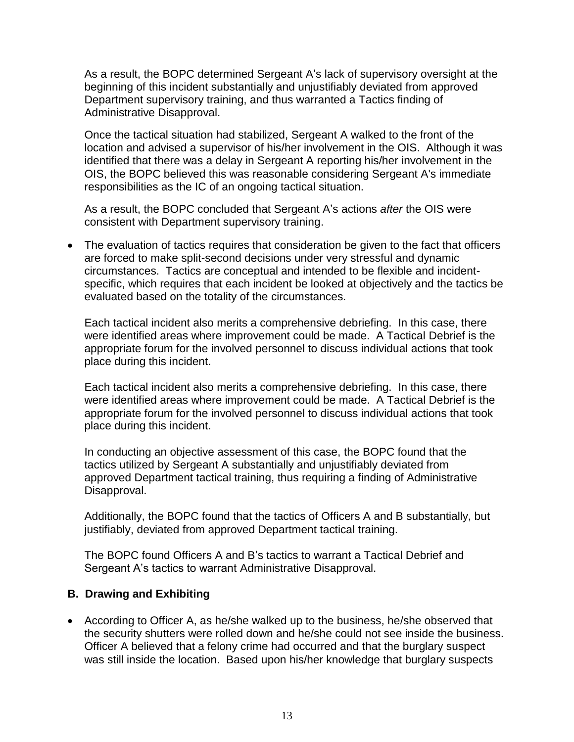As a result, the BOPC determined Sergeant A's lack of supervisory oversight at the beginning of this incident substantially and unjustifiably deviated from approved Department supervisory training, and thus warranted a Tactics finding of Administrative Disapproval.

Once the tactical situation had stabilized, Sergeant A walked to the front of the location and advised a supervisor of his/her involvement in the OIS. Although it was identified that there was a delay in Sergeant A reporting his/her involvement in the OIS, the BOPC believed this was reasonable considering Sergeant A's immediate responsibilities as the IC of an ongoing tactical situation.

As a result, the BOPC concluded that Sergeant A's actions *after* the OIS were consistent with Department supervisory training.

• The evaluation of tactics requires that consideration be given to the fact that officers are forced to make split-second decisions under very stressful and dynamic circumstances. Tactics are conceptual and intended to be flexible and incidentspecific, which requires that each incident be looked at objectively and the tactics be evaluated based on the totality of the circumstances.

Each tactical incident also merits a comprehensive debriefing. In this case, there were identified areas where improvement could be made. A Tactical Debrief is the appropriate forum for the involved personnel to discuss individual actions that took place during this incident.

Each tactical incident also merits a comprehensive debriefing. In this case, there were identified areas where improvement could be made. A Tactical Debrief is the appropriate forum for the involved personnel to discuss individual actions that took place during this incident.

In conducting an objective assessment of this case, the BOPC found that the tactics utilized by Sergeant A substantially and unjustifiably deviated from approved Department tactical training, thus requiring a finding of Administrative Disapproval.

Additionally, the BOPC found that the tactics of Officers A and B substantially, but justifiably, deviated from approved Department tactical training.

The BOPC found Officers A and B's tactics to warrant a Tactical Debrief and Sergeant A's tactics to warrant Administrative Disapproval.

#### **B. Drawing and Exhibiting**

• According to Officer A, as he/she walked up to the business, he/she observed that the security shutters were rolled down and he/she could not see inside the business. Officer A believed that a felony crime had occurred and that the burglary suspect was still inside the location. Based upon his/her knowledge that burglary suspects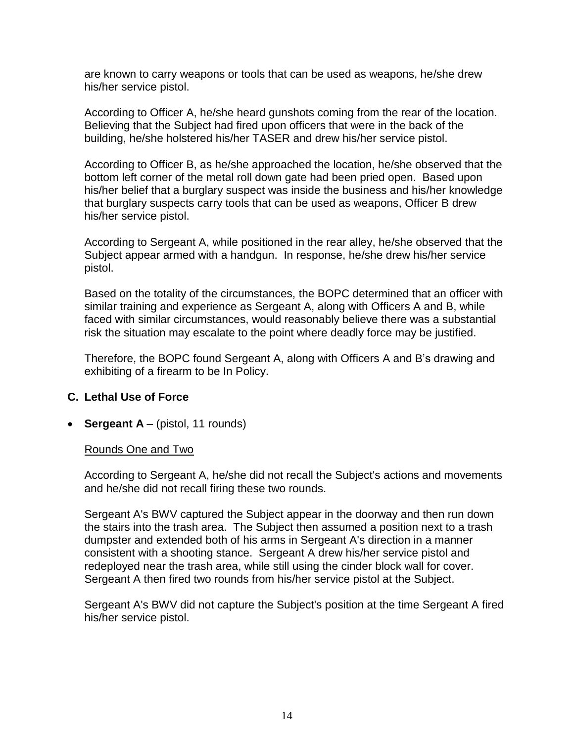are known to carry weapons or tools that can be used as weapons, he/she drew his/her service pistol.

According to Officer A, he/she heard gunshots coming from the rear of the location. Believing that the Subject had fired upon officers that were in the back of the building, he/she holstered his/her TASER and drew his/her service pistol.

According to Officer B, as he/she approached the location, he/she observed that the bottom left corner of the metal roll down gate had been pried open. Based upon his/her belief that a burglary suspect was inside the business and his/her knowledge that burglary suspects carry tools that can be used as weapons, Officer B drew his/her service pistol.

According to Sergeant A, while positioned in the rear alley, he/she observed that the Subject appear armed with a handgun. In response, he/she drew his/her service pistol.

Based on the totality of the circumstances, the BOPC determined that an officer with similar training and experience as Sergeant A, along with Officers A and B, while faced with similar circumstances, would reasonably believe there was a substantial risk the situation may escalate to the point where deadly force may be justified.

Therefore, the BOPC found Sergeant A, along with Officers A and B's drawing and exhibiting of a firearm to be In Policy.

#### **C. Lethal Use of Force**

• **Sergeant A** – (pistol, 11 rounds)

#### Rounds One and Two

According to Sergeant A, he/she did not recall the Subject's actions and movements and he/she did not recall firing these two rounds.

Sergeant A's BWV captured the Subject appear in the doorway and then run down the stairs into the trash area. The Subject then assumed a position next to a trash dumpster and extended both of his arms in Sergeant A's direction in a manner consistent with a shooting stance. Sergeant A drew his/her service pistol and redeployed near the trash area, while still using the cinder block wall for cover. Sergeant A then fired two rounds from his/her service pistol at the Subject.

Sergeant A's BWV did not capture the Subject's position at the time Sergeant A fired his/her service pistol.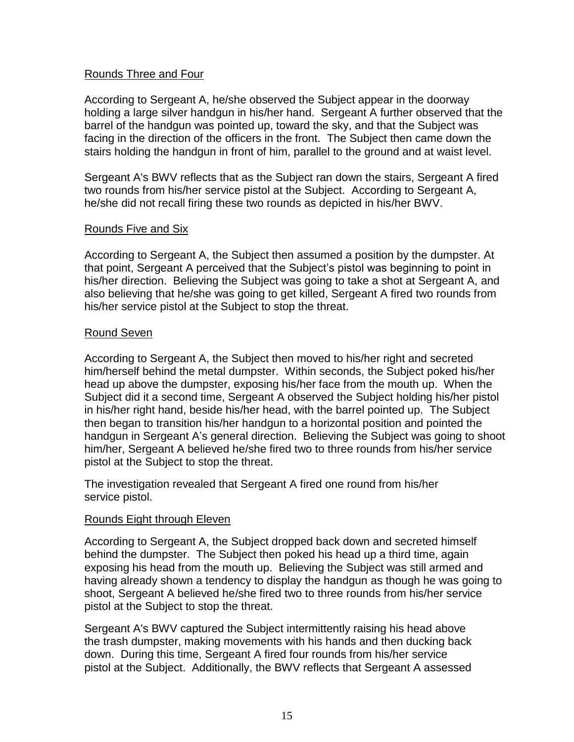#### Rounds Three and Four

According to Sergeant A, he/she observed the Subject appear in the doorway holding a large silver handgun in his/her hand. Sergeant A further observed that the barrel of the handgun was pointed up, toward the sky, and that the Subject was facing in the direction of the officers in the front. The Subject then came down the stairs holding the handgun in front of him, parallel to the ground and at waist level.

Sergeant A's BWV reflects that as the Subject ran down the stairs, Sergeant A fired two rounds from his/her service pistol at the Subject. According to Sergeant A, he/she did not recall firing these two rounds as depicted in his/her BWV.

#### Rounds Five and Six

According to Sergeant A, the Subject then assumed a position by the dumpster. At that point, Sergeant A perceived that the Subject's pistol was beginning to point in his/her direction. Believing the Subject was going to take a shot at Sergeant A, and also believing that he/she was going to get killed, Sergeant A fired two rounds from his/her service pistol at the Subject to stop the threat.

#### Round Seven

According to Sergeant A, the Subject then moved to his/her right and secreted him/herself behind the metal dumpster. Within seconds, the Subject poked his/her head up above the dumpster, exposing his/her face from the mouth up. When the Subject did it a second time, Sergeant A observed the Subject holding his/her pistol in his/her right hand, beside his/her head, with the barrel pointed up. The Subject then began to transition his/her handgun to a horizontal position and pointed the handgun in Sergeant A's general direction. Believing the Subject was going to shoot him/her, Sergeant A believed he/she fired two to three rounds from his/her service pistol at the Subject to stop the threat.

The investigation revealed that Sergeant A fired one round from his/her service pistol.

#### Rounds Eight through Eleven

According to Sergeant A, the Subject dropped back down and secreted himself behind the dumpster. The Subject then poked his head up a third time, again exposing his head from the mouth up. Believing the Subject was still armed and having already shown a tendency to display the handgun as though he was going to shoot, Sergeant A believed he/she fired two to three rounds from his/her service pistol at the Subject to stop the threat.

Sergeant A's BWV captured the Subject intermittently raising his head above the trash dumpster, making movements with his hands and then ducking back down. During this time, Sergeant A fired four rounds from his/her service pistol at the Subject. Additionally, the BWV reflects that Sergeant A assessed